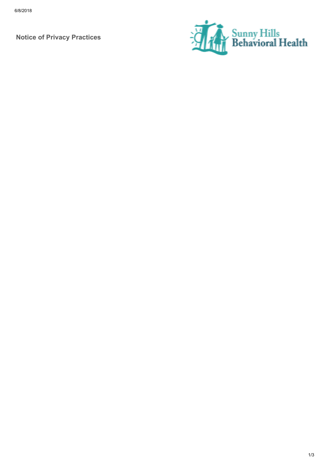Notice of Privacy Practices

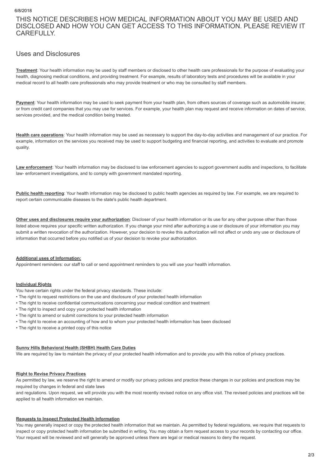THIS NOTICE DESCRIBES HOW MEDICAL INFORMATION ABOUT YOU MAY BE USED AND DISCLOSED AND HOW YOU CAN GET ACCESS TO THIS INFORMATION. PLEASE REVIEW IT CAREFULLY.

# Uses and Disclosures

Treatment: Your health information may be used by staff members or disclosed to other health care professionals for the purpose of evaluating your health, diagnosing medical conditions, and providing treatment. For example, results of laboratory tests and procedures will be available in your medical record to all health care professionals who may provide treatment or who may be consulted by staff members.

Payment: Your health information may be used to seek payment from your health plan, from others sources of coverage such as automobile insurer, or from credit card companies that you may use for services. For example, your health plan may request and receive information on dates of service, services provided, and the medical condition being treated.

Health care operations: Your health information may be used as necessary to support the day-to-day activities and management of our practice. For example, information on the services you received may be used to support budgeting and financial reporting, and activities to evaluate and promote quality.

Law enforcement: Your health information may be disclosed to law enforcement agencies to support government audits and inspections, to facilitate law- enforcement investigations, and to comply with government mandated reporting.

Public health reporting: Your health information may be disclosed to public health agencies as required by law. For example, we are required to report certain communicable diseases to the state's public health department.

Other uses and disclosures require your authorization: Discloser of your health information or its use for any other purpose other than those listed above requires your specific written authorization. If you change your mind after authorizing a use or disclosure of your information you may submit a written revocation of the authorization. However, your decision to revoke this authorization will not affect or undo any use or disclosure of information that occurred before you notified us of your decision to revoke your authorization.

## Additional uses of Information:

Appointment reminders: our staff to call or send appointment reminders to you will use your health information.

## Individual Rights

You have certain rights under the federal privacy standards. These include:

- The right to request restrictions on the use and disclosure of your protected health information
- The right to receive confidential communications concerning your medical condition and treatment
- The right to inspect and copy your protected health information
- The right to amend or submit corrections to your protected health information
- The right to receive an accounting of how and to whom your protected health information has been disclosed
- The right to receive a printed copy of this notice

#### Sunny Hills Behavioral Health (SHBH) Health Care Duties

We are required by law to maintain the privacy of your protected health information and to provide you with this notice of privacy practices.

#### Right to Revise Privacy Practices

As permitted by law, we reserve the right to amend or modify our privacy policies and practice these changes in our policies and practices may be required by changes in federal and state laws

and regulations. Upon request, we will provide you with the most recently revised notice on any office visit. The revised policies and practices will be applied to all health information we maintain.

#### Requests to Inspect Protected Health Information

You may generally inspect or copy the protected health information that we maintain. As permitted by federal regulations, we require that requests to inspect or copy protected health information be submitted in writing. You may obtain a form request access to your records by contacting our office. Your request will be reviewed and will generally be approved unless there are legal or medical reasons to deny the request.